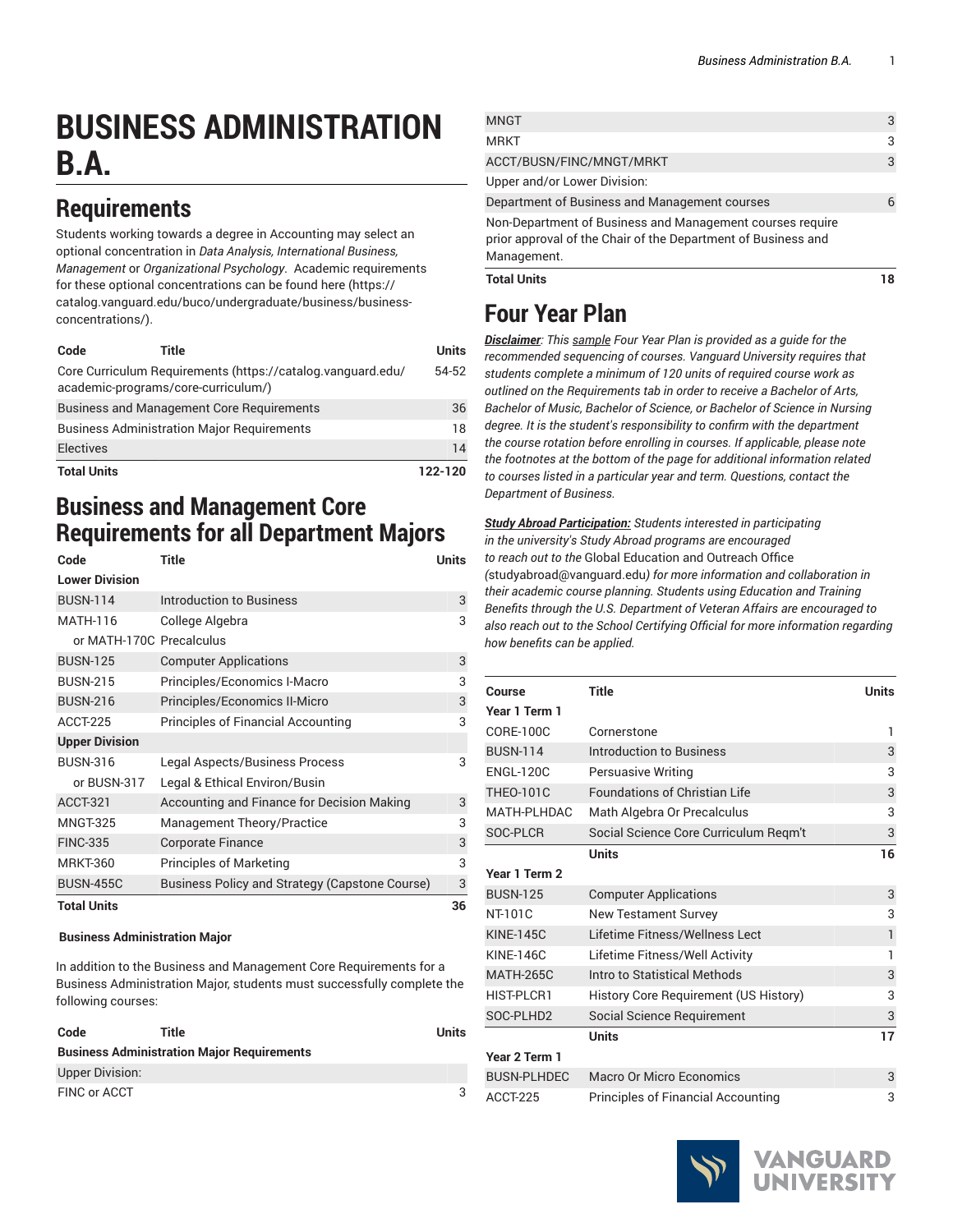# **BUSINESS ADMINISTRATION B.A.**

### **Requirements**

Students working towards a degree in Accounting may select an optional concentration in *Data Analysis, International Business, Management* or *Organizational Psychology*. Academic requirements for these optional concentrations can be found [here](https://catalog.vanguard.edu/buco/undergraduate/business/business-concentrations/) ([https://](https://catalog.vanguard.edu/buco/undergraduate/business/business-concentrations/) [catalog.vanguard.edu/buco/undergraduate/business/business](https://catalog.vanguard.edu/buco/undergraduate/business/business-concentrations/)[concentrations/\)](https://catalog.vanguard.edu/buco/undergraduate/business/business-concentrations/).

| Code                                                                                               | Title                                            | Units   |
|----------------------------------------------------------------------------------------------------|--------------------------------------------------|---------|
| Core Curriculum Requirements (https://catalog.vanguard.edu/<br>academic-programs/core-curriculum/) |                                                  |         |
|                                                                                                    | <b>Business and Management Core Requirements</b> | 36      |
| <b>Business Administration Major Requirements</b>                                                  |                                                  | 18      |
| <b>Electives</b>                                                                                   |                                                  | 14      |
| <b>Total Units</b>                                                                                 |                                                  | 122-120 |

### **Business and Management Core Requirements for all Department Majors**

| Code                     | Title                                          | Units |
|--------------------------|------------------------------------------------|-------|
| <b>Lower Division</b>    |                                                |       |
| <b>BUSN-114</b>          | <b>Introduction to Business</b>                | 3     |
| MATH-116                 | College Algebra                                | 3     |
| or MATH-170C Precalculus |                                                |       |
| <b>BUSN-125</b>          | <b>Computer Applications</b>                   | 3     |
| <b>BUSN-215</b>          | Principles/Economics I-Macro                   | 3     |
| <b>BUSN-216</b>          | Principles/Economics II-Micro                  | 3     |
| ACCT-225                 | Principles of Financial Accounting             | 3     |
| <b>Upper Division</b>    |                                                |       |
| <b>BUSN-316</b>          | Legal Aspects/Business Process                 | 3     |
| or BUSN-317              | Legal & Ethical Environ/Busin                  |       |
| ACCT-321                 | Accounting and Finance for Decision Making     | 3     |
| <b>MNGT-325</b>          | Management Theory/Practice                     | 3     |
| <b>FINC-335</b>          | <b>Corporate Finance</b>                       | 3     |
| <b>MRKT-360</b>          | <b>Principles of Marketing</b>                 | 3     |
| <b>BUSN-455C</b>         | Business Policy and Strategy (Capstone Course) | 3     |
| <b>Total Units</b>       |                                                | 36    |

#### **Business Administration Major**

In addition to the Business and Management Core Requirements for a Business Administration Major, students must successfully complete the following courses:

| Code                   | Title                                             | Units |
|------------------------|---------------------------------------------------|-------|
|                        | <b>Business Administration Major Requirements</b> |       |
| <b>Upper Division:</b> |                                                   |       |
| FINC or ACCT           |                                                   |       |

| <b>Total Units</b>                                            |   |
|---------------------------------------------------------------|---|
| Management.                                                   |   |
| prior approval of the Chair of the Department of Business and |   |
| Non-Department of Business and Management courses require     |   |
| Department of Business and Management courses                 | 6 |
| Upper and/or Lower Division:                                  |   |
| ACCT/BUSN/FINC/MNGT/MRKT                                      | 3 |
| <b>MRKT</b>                                                   | 3 |
| <b>MNGT</b>                                                   | 3 |

## **Four Year Plan**

*Disclaimer: This sample Four Year Plan is provided as a guide for the recommended sequencing of courses. Vanguard University requires that students complete a minimum of 120 units of required course work as outlined on the Requirements tab in order to receive a Bachelor of Arts, Bachelor of Music, Bachelor of Science, or Bachelor of Science in Nursing degree. It is the student's responsibility to confirm with the department the course rotation before enrolling in courses. If applicable, please note the footnotes at the bottom of the page for additional information related to courses listed in a particular year and term. Questions, contact the Department of Business.*

*Study Abroad Participation: Students interested in participating in the university's Study Abroad programs are encouraged to reach out to the* Global [Education](mailto:studyabroad@vanguard.edu) and Outreach Office *(*<studyabroad@vanguard.edu>*) for more information and collaboration in their academic course planning. Students using Education and Training Benefits through the U.S. Department of Veteran Affairs are encouraged to also reach out to the School Certifying Official for more information regarding how benefits can be applied.*

| Course             | Title                                     | <b>Units</b> |
|--------------------|-------------------------------------------|--------------|
| Year 1 Term 1      |                                           |              |
| CORE-100C          | Cornerstone                               | ı            |
| <b>BUSN-114</b>    | Introduction to Business                  | 3            |
| <b>FNGI-120C</b>   | Persuasive Writing                        | 3            |
| <b>THEO-101C</b>   | <b>Foundations of Christian Life</b>      | 3            |
| MATH-PLHDAC        | Math Algebra Or Precalculus               | 3            |
| SOC-PLCR           | Social Science Core Curriculum Regm't     | 3            |
|                    | <b>Units</b>                              | 16           |
| Year 1 Term 2      |                                           |              |
| <b>BUSN-125</b>    | <b>Computer Applications</b>              | 3            |
| NT-101C            | <b>New Testament Survey</b>               | 3            |
| <b>KINE-145C</b>   | Lifetime Fitness/Wellness Lect            | 1            |
| <b>KINF-146C</b>   | Lifetime Fitness/Well Activity            | 1            |
| <b>MATH-265C</b>   | Intro to Statistical Methods              | 3            |
| HIST-PICR1         | History Core Requirement (US History)     | 3            |
| SOC-PLHD2          | Social Science Requirement                | 3            |
|                    | <b>Units</b>                              | 17           |
| Year 2 Term 1      |                                           |              |
| <b>BUSN-PLHDEC</b> | Macro Or Micro Economics                  | 3            |
| ACCT-225           | <b>Principles of Financial Accounting</b> | 3            |